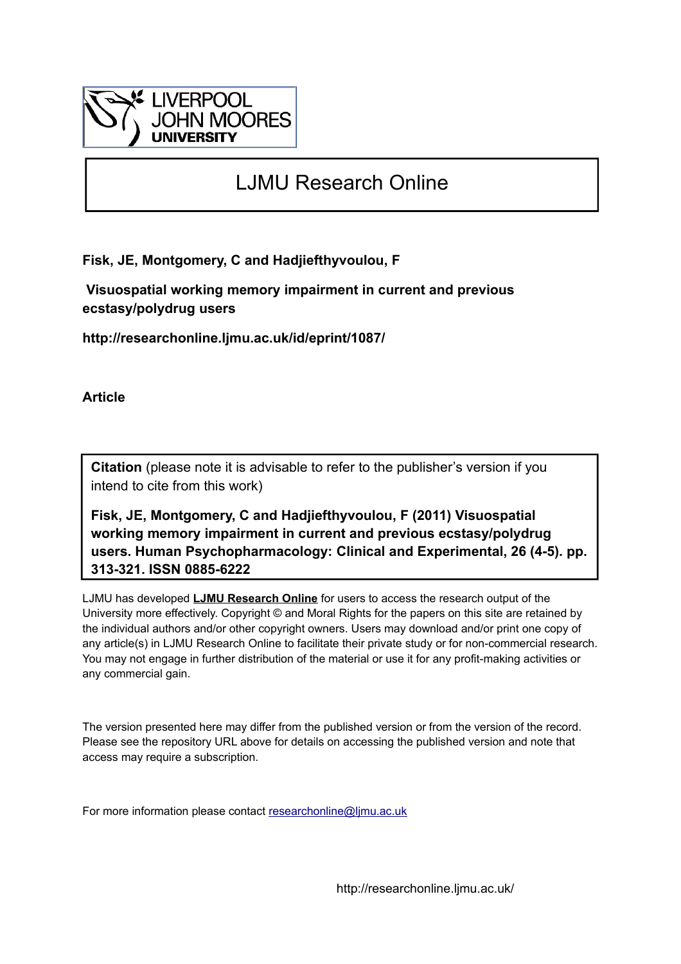

# LJMU Research Online

**Fisk, JE, Montgomery, C and Hadjiefthyvoulou, F**

 **Visuospatial working memory impairment in current and previous ecstasy/polydrug users**

**http://researchonline.ljmu.ac.uk/id/eprint/1087/**

**Article**

**Citation** (please note it is advisable to refer to the publisher's version if you intend to cite from this work)

**Fisk, JE, Montgomery, C and Hadjiefthyvoulou, F (2011) Visuospatial working memory impairment in current and previous ecstasy/polydrug users. Human Psychopharmacology: Clinical and Experimental, 26 (4-5). pp. 313-321. ISSN 0885-6222** 

LJMU has developed **[LJMU Research Online](http://researchonline.ljmu.ac.uk/)** for users to access the research output of the University more effectively. Copyright © and Moral Rights for the papers on this site are retained by the individual authors and/or other copyright owners. Users may download and/or print one copy of any article(s) in LJMU Research Online to facilitate their private study or for non-commercial research. You may not engage in further distribution of the material or use it for any profit-making activities or any commercial gain.

The version presented here may differ from the published version or from the version of the record. Please see the repository URL above for details on accessing the published version and note that access may require a subscription.

For more information please contact [researchonline@ljmu.ac.uk](mailto:researchonline@ljmu.ac.uk)

http://researchonline.ljmu.ac.uk/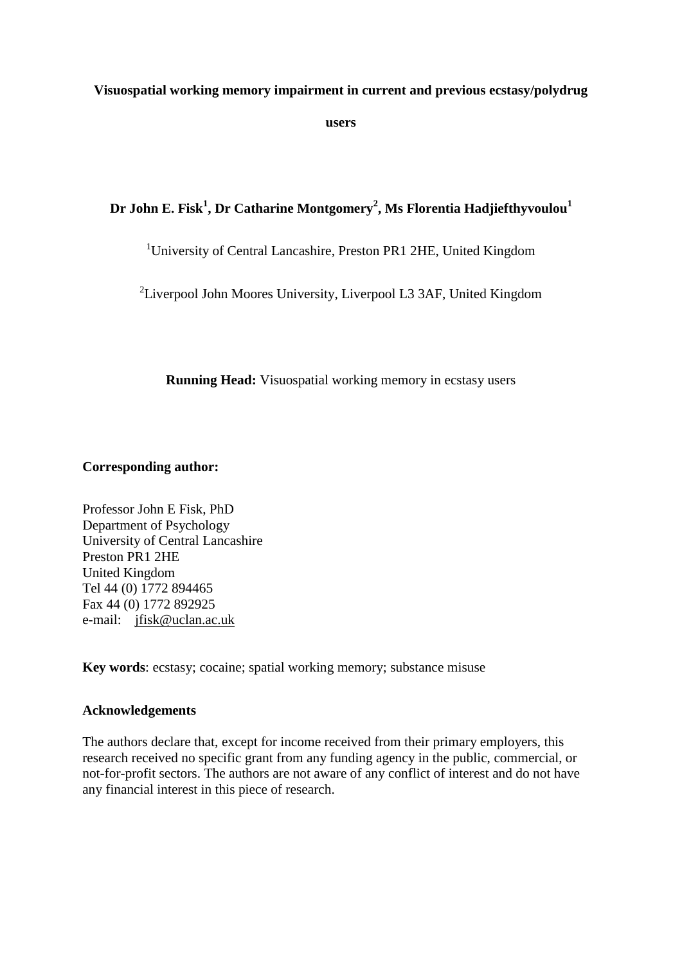## **Visuospatial working memory impairment in current and previous ecstasy/polydrug**

**users** 

# **Dr John E. Fisk<sup>1</sup> , Dr Catharine Montgomery<sup>2</sup> , Ms Florentia Hadjiefthyvoulou<sup>1</sup>**

# <sup>1</sup>University of Central Lancashire, Preston PR1 2HE, United Kingdom

 $2$ Liverpool John Moores University, Liverpool L3 3AF, United Kingdom

**Running Head:** Visuospatial working memory in ecstasy users

## **Corresponding author:**

Professor John E Fisk, PhD Department of Psychology University of Central Lancashire Preston PR1 2HE United Kingdom Tel 44 (0) 1772 894465 Fax 44 (0) 1772 892925 e-mail: [jfisk@uclan.ac.uk](mailto:jfisk@uclan.ac.uk)

**Key words**: ecstasy; cocaine; spatial working memory; substance misuse

## **Acknowledgements**

The authors declare that, except for income received from their primary employers, this research received no specific grant from any funding agency in the public, commercial, or not-for-profit sectors. The authors are not aware of any conflict of interest and do not have any financial interest in this piece of research.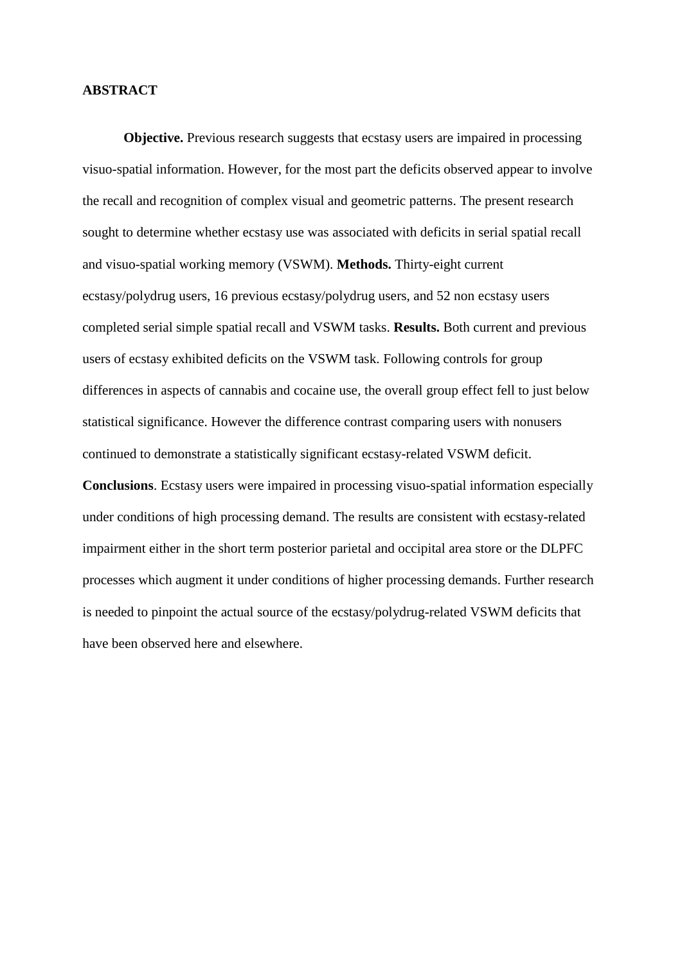## **ABSTRACT**

**Objective.** Previous research suggests that ecstasy users are impaired in processing visuo-spatial information. However, for the most part the deficits observed appear to involve the recall and recognition of complex visual and geometric patterns. The present research sought to determine whether ecstasy use was associated with deficits in serial spatial recall and visuo-spatial working memory (VSWM). **Methods.** Thirty-eight current ecstasy/polydrug users, 16 previous ecstasy/polydrug users, and 52 non ecstasy users completed serial simple spatial recall and VSWM tasks. **Results.** Both current and previous users of ecstasy exhibited deficits on the VSWM task. Following controls for group differences in aspects of cannabis and cocaine use, the overall group effect fell to just below statistical significance. However the difference contrast comparing users with nonusers continued to demonstrate a statistically significant ecstasy-related VSWM deficit.

**Conclusions**. Ecstasy users were impaired in processing visuo-spatial information especially under conditions of high processing demand. The results are consistent with ecstasy-related impairment either in the short term posterior parietal and occipital area store or the DLPFC processes which augment it under conditions of higher processing demands. Further research is needed to pinpoint the actual source of the ecstasy/polydrug-related VSWM deficits that have been observed here and elsewhere.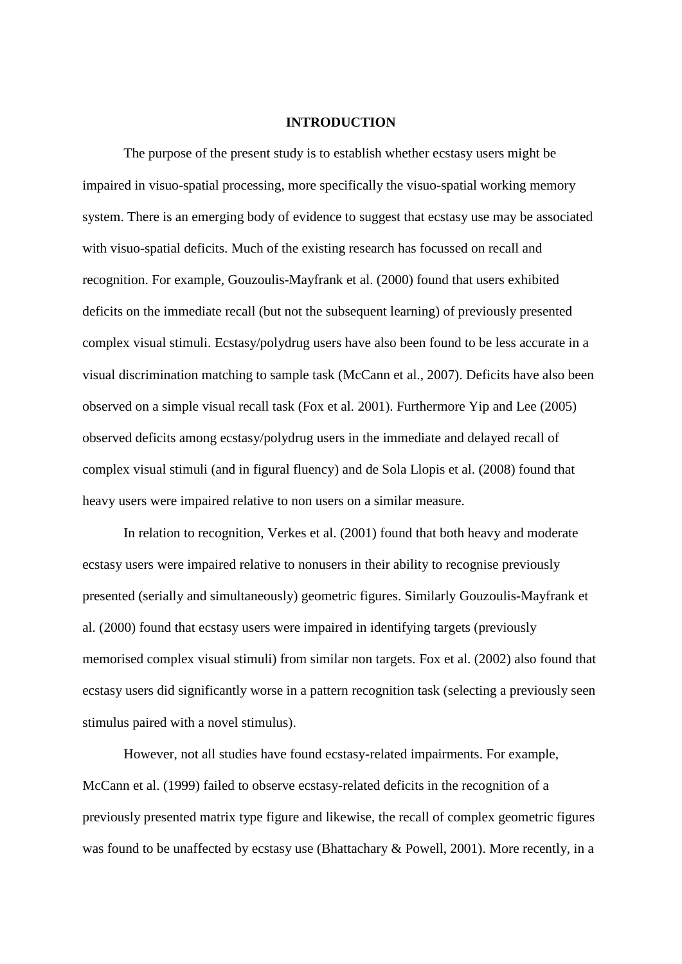#### **INTRODUCTION**

The purpose of the present study is to establish whether ecstasy users might be impaired in visuo-spatial processing, more specifically the visuo-spatial working memory system. There is an emerging body of evidence to suggest that ecstasy use may be associated with visuo-spatial deficits. Much of the existing research has focussed on recall and recognition. For example, Gouzoulis-Mayfrank et al. (2000) found that users exhibited deficits on the immediate recall (but not the subsequent learning) of previously presented complex visual stimuli. Ecstasy/polydrug users have also been found to be less accurate in a visual discrimination matching to sample task (McCann et al., 2007). Deficits have also been observed on a simple visual recall task (Fox et al. 2001). Furthermore Yip and Lee (2005) observed deficits among ecstasy/polydrug users in the immediate and delayed recall of complex visual stimuli (and in figural fluency) and de Sola Llopis et al. (2008) found that heavy users were impaired relative to non users on a similar measure.

In relation to recognition, Verkes et al. (2001) found that both heavy and moderate ecstasy users were impaired relative to nonusers in their ability to recognise previously presented (serially and simultaneously) geometric figures. Similarly Gouzoulis-Mayfrank et al. (2000) found that ecstasy users were impaired in identifying targets (previously memorised complex visual stimuli) from similar non targets. Fox et al. (2002) also found that ecstasy users did significantly worse in a pattern recognition task (selecting a previously seen stimulus paired with a novel stimulus).

However, not all studies have found ecstasy-related impairments. For example, McCann et al. (1999) failed to observe ecstasy-related deficits in the recognition of a previously presented matrix type figure and likewise, the recall of complex geometric figures was found to be unaffected by ecstasy use (Bhattachary & Powell, 2001). More recently, in a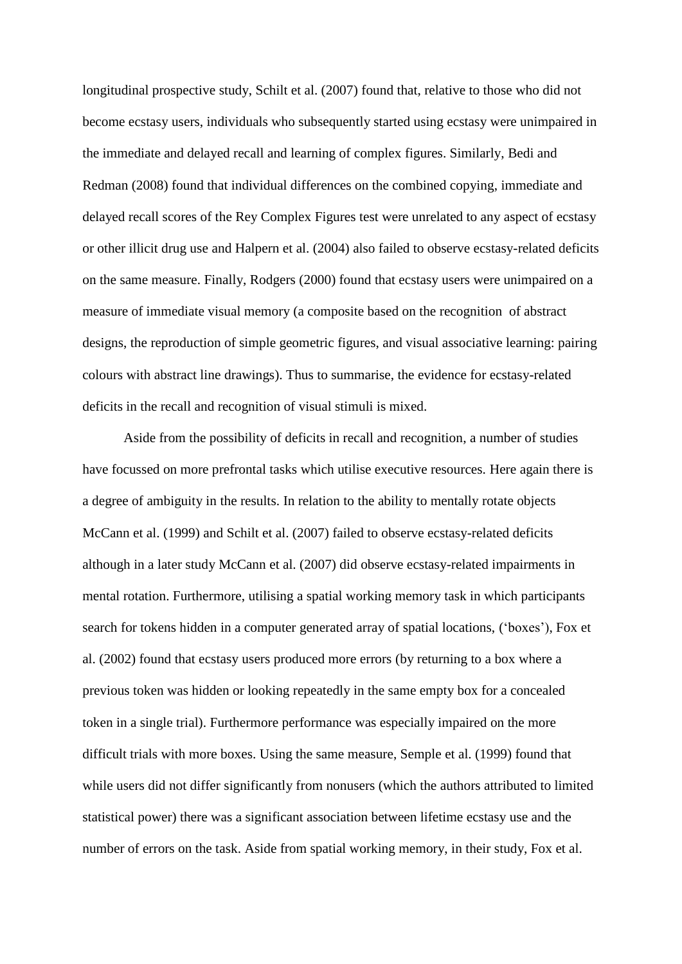longitudinal prospective study, Schilt et al. (2007) found that, relative to those who did not become ecstasy users, individuals who subsequently started using ecstasy were unimpaired in the immediate and delayed recall and learning of complex figures. Similarly, Bedi and Redman (2008) found that individual differences on the combined copying, immediate and delayed recall scores of the Rey Complex Figures test were unrelated to any aspect of ecstasy or other illicit drug use and Halpern et al. (2004) also failed to observe ecstasy-related deficits on the same measure. Finally, Rodgers (2000) found that ecstasy users were unimpaired on a measure of immediate visual memory (a composite based on the recognition of abstract designs, the reproduction of simple geometric figures, and visual associative learning: pairing colours with abstract line drawings). Thus to summarise, the evidence for ecstasy-related deficits in the recall and recognition of visual stimuli is mixed.

Aside from the possibility of deficits in recall and recognition, a number of studies have focussed on more prefrontal tasks which utilise executive resources. Here again there is a degree of ambiguity in the results. In relation to the ability to mentally rotate objects McCann et al. (1999) and Schilt et al. (2007) failed to observe ecstasy-related deficits although in a later study McCann et al. (2007) did observe ecstasy-related impairments in mental rotation. Furthermore, utilising a spatial working memory task in which participants search for tokens hidden in a computer generated array of spatial locations, ('boxes'), Fox et al. (2002) found that ecstasy users produced more errors (by returning to a box where a previous token was hidden or looking repeatedly in the same empty box for a concealed token in a single trial). Furthermore performance was especially impaired on the more difficult trials with more boxes. Using the same measure, Semple et al. (1999) found that while users did not differ significantly from nonusers (which the authors attributed to limited statistical power) there was a significant association between lifetime ecstasy use and the number of errors on the task. Aside from spatial working memory, in their study, Fox et al.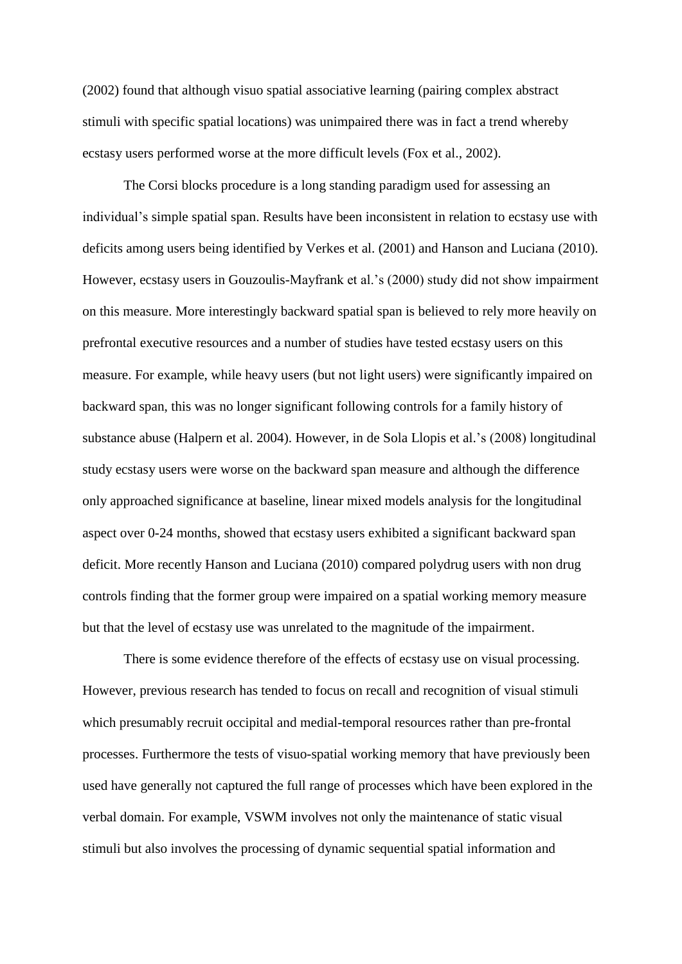(2002) found that although visuo spatial associative learning (pairing complex abstract stimuli with specific spatial locations) was unimpaired there was in fact a trend whereby ecstasy users performed worse at the more difficult levels (Fox et al., 2002).

The Corsi blocks procedure is a long standing paradigm used for assessing an individual's simple spatial span. Results have been inconsistent in relation to ecstasy use with deficits among users being identified by Verkes et al. (2001) and Hanson and Luciana (2010). However, ecstasy users in Gouzoulis-Mayfrank et al.'s (2000) study did not show impairment on this measure. More interestingly backward spatial span is believed to rely more heavily on prefrontal executive resources and a number of studies have tested ecstasy users on this measure. For example, while heavy users (but not light users) were significantly impaired on backward span, this was no longer significant following controls for a family history of substance abuse (Halpern et al. 2004). However, in de Sola Llopis et al.'s (2008) longitudinal study ecstasy users were worse on the backward span measure and although the difference only approached significance at baseline, linear mixed models analysis for the longitudinal aspect over 0-24 months, showed that ecstasy users exhibited a significant backward span deficit. More recently Hanson and Luciana (2010) compared polydrug users with non drug controls finding that the former group were impaired on a spatial working memory measure but that the level of ecstasy use was unrelated to the magnitude of the impairment.

There is some evidence therefore of the effects of ecstasy use on visual processing. However, previous research has tended to focus on recall and recognition of visual stimuli which presumably recruit occipital and medial-temporal resources rather than pre-frontal processes. Furthermore the tests of visuo-spatial working memory that have previously been used have generally not captured the full range of processes which have been explored in the verbal domain. For example, VSWM involves not only the maintenance of static visual stimuli but also involves the processing of dynamic sequential spatial information and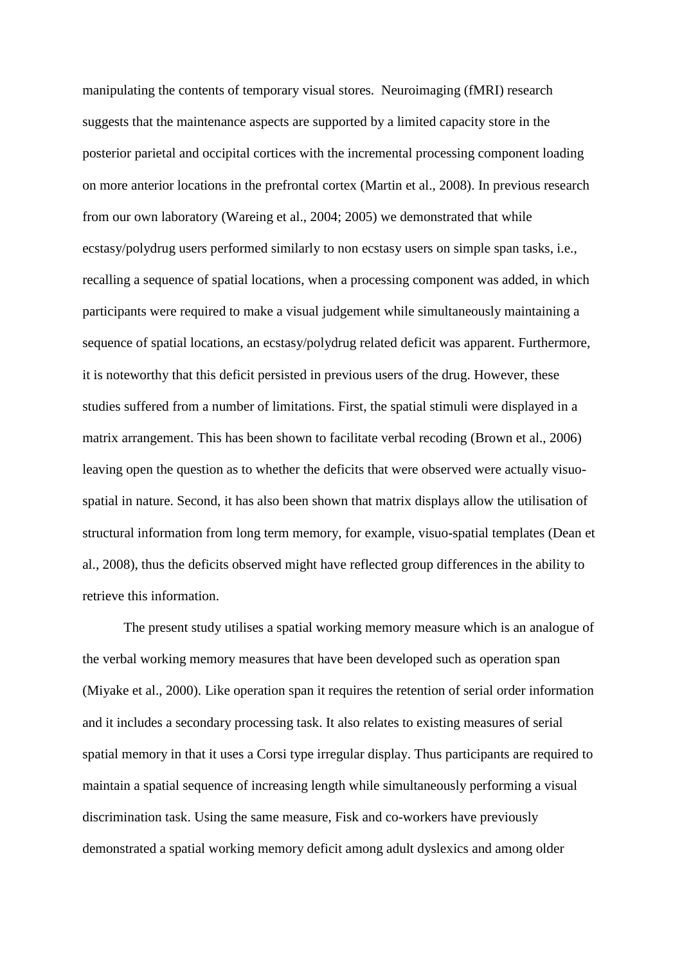manipulating the contents of temporary visual stores. Neuroimaging (fMRI) research suggests that the maintenance aspects are supported by a limited capacity store in the posterior parietal and occipital cortices with the incremental processing component loading on more anterior locations in the prefrontal cortex (Martin et al., 2008). In previous research from our own laboratory (Wareing et al., 2004; 2005) we demonstrated that while ecstasy/polydrug users performed similarly to non ecstasy users on simple span tasks, i.e., recalling a sequence of spatial locations, when a processing component was added, in which participants were required to make a visual judgement while simultaneously maintaining a sequence of spatial locations, an ecstasy/polydrug related deficit was apparent. Furthermore, it is noteworthy that this deficit persisted in previous users of the drug. However, these studies suffered from a number of limitations. First, the spatial stimuli were displayed in a matrix arrangement. This has been shown to facilitate verbal recoding (Brown et al., 2006) leaving open the question as to whether the deficits that were observed were actually visuospatial in nature. Second, it has also been shown that matrix displays allow the utilisation of structural information from long term memory, for example, visuo-spatial templates (Dean et al., 2008), thus the deficits observed might have reflected group differences in the ability to retrieve this information.

The present study utilises a spatial working memory measure which is an analogue of the verbal working memory measures that have been developed such as operation span (Miyake et al., 2000). Like operation span it requires the retention of serial order information and it includes a secondary processing task. It also relates to existing measures of serial spatial memory in that it uses a Corsi type irregular display. Thus participants are required to maintain a spatial sequence of increasing length while simultaneously performing a visual discrimination task. Using the same measure, Fisk and co-workers have previously demonstrated a spatial working memory deficit among adult dyslexics and among older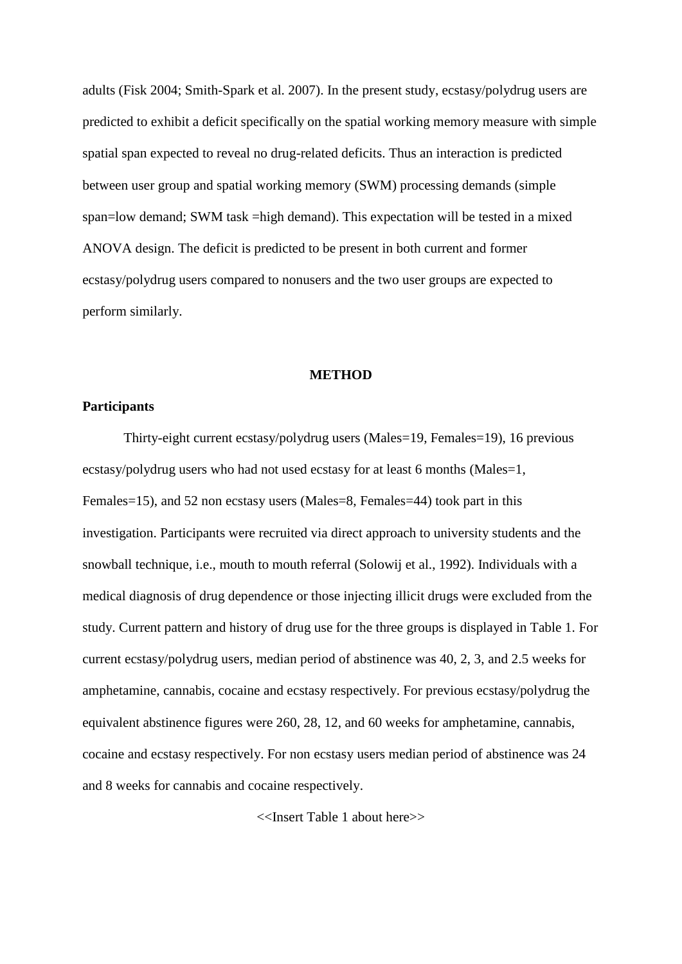adults (Fisk 2004; Smith-Spark et al. 2007). In the present study, ecstasy/polydrug users are predicted to exhibit a deficit specifically on the spatial working memory measure with simple spatial span expected to reveal no drug-related deficits. Thus an interaction is predicted between user group and spatial working memory (SWM) processing demands (simple span=low demand; SWM task =high demand). This expectation will be tested in a mixed ANOVA design. The deficit is predicted to be present in both current and former ecstasy/polydrug users compared to nonusers and the two user groups are expected to perform similarly.

#### **METHOD**

## **Participants**

Thirty-eight current ecstasy/polydrug users (Males=19, Females=19), 16 previous ecstasy/polydrug users who had not used ecstasy for at least 6 months (Males=1, Females=15), and 52 non ecstasy users (Males=8, Females=44) took part in this investigation. Participants were recruited via direct approach to university students and the snowball technique, i.e., mouth to mouth referral (Solowij et al., 1992). Individuals with a medical diagnosis of drug dependence or those injecting illicit drugs were excluded from the study. Current pattern and history of drug use for the three groups is displayed in Table 1. For current ecstasy/polydrug users, median period of abstinence was 40, 2, 3, and 2.5 weeks for amphetamine, cannabis, cocaine and ecstasy respectively. For previous ecstasy/polydrug the equivalent abstinence figures were 260, 28, 12, and 60 weeks for amphetamine, cannabis, cocaine and ecstasy respectively. For non ecstasy users median period of abstinence was 24 and 8 weeks for cannabis and cocaine respectively.

<<Insert Table 1 about here>>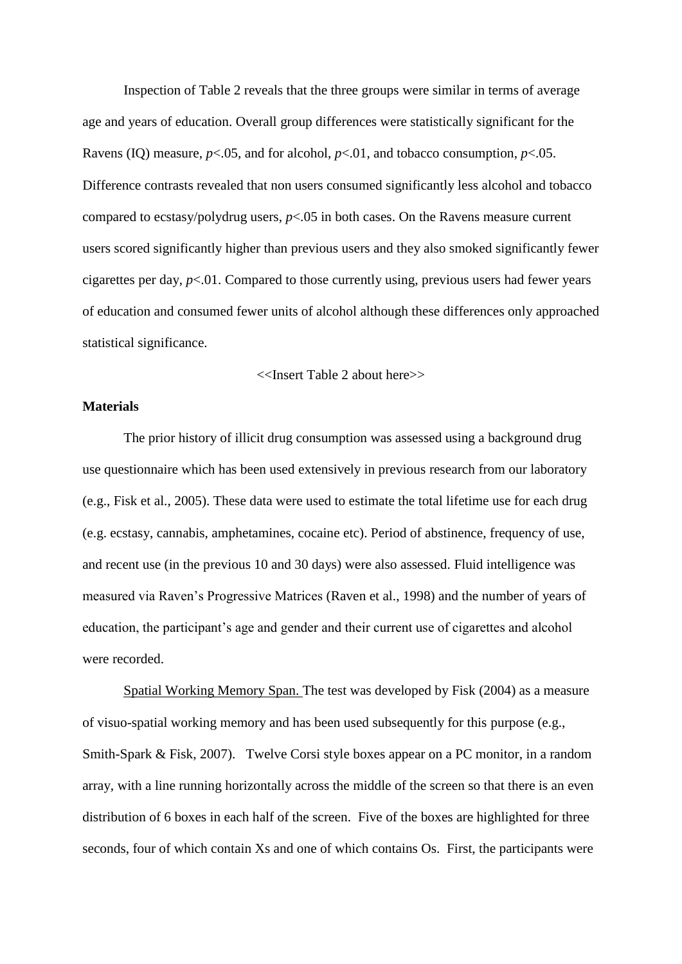Inspection of Table 2 reveals that the three groups were similar in terms of average age and years of education. Overall group differences were statistically significant for the Ravens (IQ) measure,  $p<.05$ , and for alcohol,  $p<.01$ , and tobacco consumption,  $p<.05$ . Difference contrasts revealed that non users consumed significantly less alcohol and tobacco compared to ecstasy/polydrug users, *p*<.05 in both cases. On the Ravens measure current users scored significantly higher than previous users and they also smoked significantly fewer cigarettes per day, *p*<.01. Compared to those currently using, previous users had fewer years of education and consumed fewer units of alcohol although these differences only approached statistical significance.

<<Insert Table 2 about here>>

## **Materials**

The prior history of illicit drug consumption was assessed using a background drug use questionnaire which has been used extensively in previous research from our laboratory (e.g., Fisk et al., 2005). These data were used to estimate the total lifetime use for each drug (e.g. ecstasy, cannabis, amphetamines, cocaine etc). Period of abstinence, frequency of use, and recent use (in the previous 10 and 30 days) were also assessed. Fluid intelligence was measured via Raven's Progressive Matrices (Raven et al., 1998) and the number of years of education, the participant's age and gender and their current use of cigarettes and alcohol were recorded.

Spatial Working Memory Span. The test was developed by Fisk (2004) as a measure of visuo-spatial working memory and has been used subsequently for this purpose (e.g., Smith-Spark & Fisk, 2007). Twelve Corsi style boxes appear on a PC monitor, in a random array, with a line running horizontally across the middle of the screen so that there is an even distribution of 6 boxes in each half of the screen. Five of the boxes are highlighted for three seconds, four of which contain Xs and one of which contains Os. First, the participants were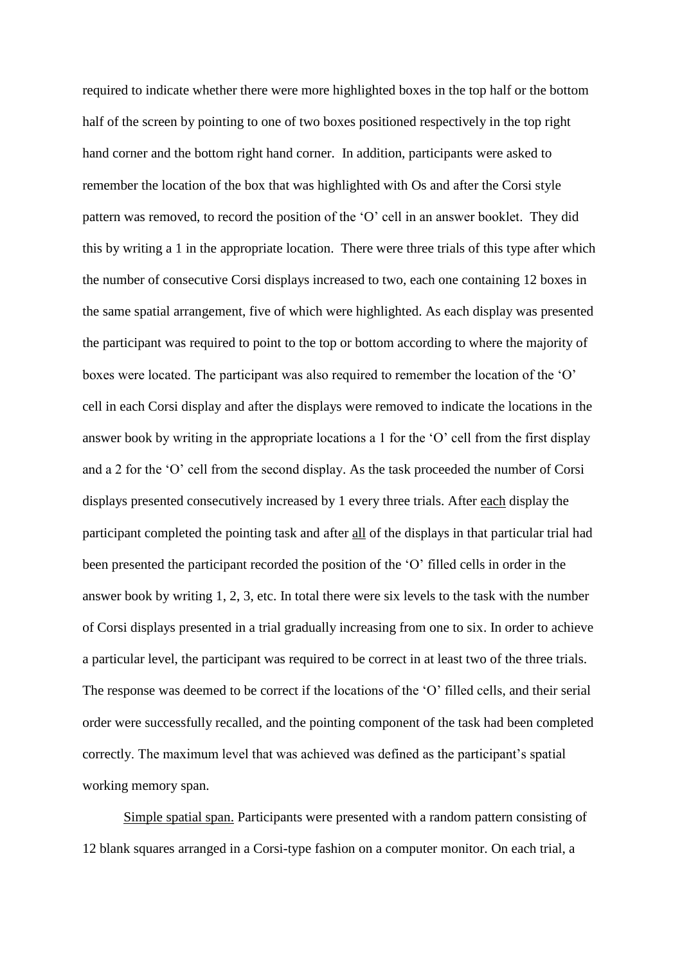required to indicate whether there were more highlighted boxes in the top half or the bottom half of the screen by pointing to one of two boxes positioned respectively in the top right hand corner and the bottom right hand corner. In addition, participants were asked to remember the location of the box that was highlighted with Os and after the Corsi style pattern was removed, to record the position of the 'O' cell in an answer booklet. They did this by writing a 1 in the appropriate location. There were three trials of this type after which the number of consecutive Corsi displays increased to two, each one containing 12 boxes in the same spatial arrangement, five of which were highlighted. As each display was presented the participant was required to point to the top or bottom according to where the majority of boxes were located. The participant was also required to remember the location of the 'O' cell in each Corsi display and after the displays were removed to indicate the locations in the answer book by writing in the appropriate locations a 1 for the 'O' cell from the first display and a 2 for the 'O' cell from the second display. As the task proceeded the number of Corsi displays presented consecutively increased by 1 every three trials. After each display the participant completed the pointing task and after all of the displays in that particular trial had been presented the participant recorded the position of the 'O' filled cells in order in the answer book by writing 1, 2, 3, etc. In total there were six levels to the task with the number of Corsi displays presented in a trial gradually increasing from one to six. In order to achieve a particular level, the participant was required to be correct in at least two of the three trials. The response was deemed to be correct if the locations of the 'O' filled cells, and their serial order were successfully recalled, and the pointing component of the task had been completed correctly. The maximum level that was achieved was defined as the participant's spatial working memory span.

Simple spatial span. Participants were presented with a random pattern consisting of 12 blank squares arranged in a Corsi-type fashion on a computer monitor. On each trial, a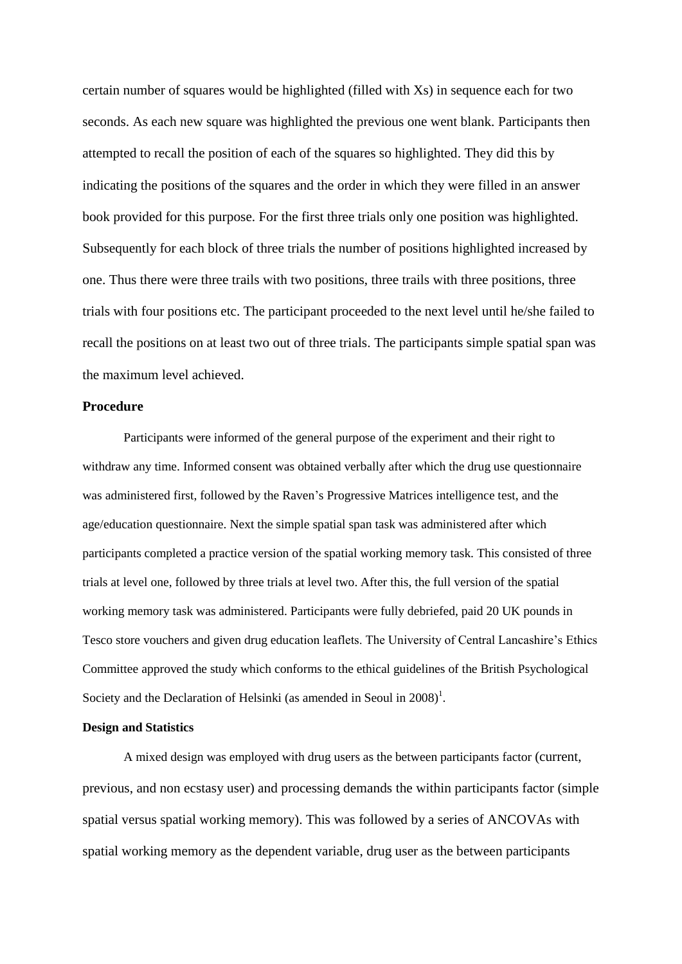certain number of squares would be highlighted (filled with Xs) in sequence each for two seconds. As each new square was highlighted the previous one went blank. Participants then attempted to recall the position of each of the squares so highlighted. They did this by indicating the positions of the squares and the order in which they were filled in an answer book provided for this purpose. For the first three trials only one position was highlighted. Subsequently for each block of three trials the number of positions highlighted increased by one. Thus there were three trails with two positions, three trails with three positions, three trials with four positions etc. The participant proceeded to the next level until he/she failed to recall the positions on at least two out of three trials. The participants simple spatial span was the maximum level achieved.

## **Procedure**

Participants were informed of the general purpose of the experiment and their right to withdraw any time. Informed consent was obtained verbally after which the drug use questionnaire was administered first, followed by the Raven's Progressive Matrices intelligence test, and the age/education questionnaire. Next the simple spatial span task was administered after which participants completed a practice version of the spatial working memory task. This consisted of three trials at level one, followed by three trials at level two. After this, the full version of the spatial working memory task was administered. Participants were fully debriefed, paid 20 UK pounds in Tesco store vouchers and given drug education leaflets. The University of Central Lancashire's Ethics Committee approved the study which conforms to the ethical guidelines of the British Psychological Society and the Declaration of Helsinki (as amended in Seoul in  $2008$ )<sup>1</sup>.

## **Design and Statistics**

A mixed design was employed with drug users as the between participants factor (current, previous, and non ecstasy user) and processing demands the within participants factor (simple spatial versus spatial working memory). This was followed by a series of ANCOVAs with spatial working memory as the dependent variable, drug user as the between participants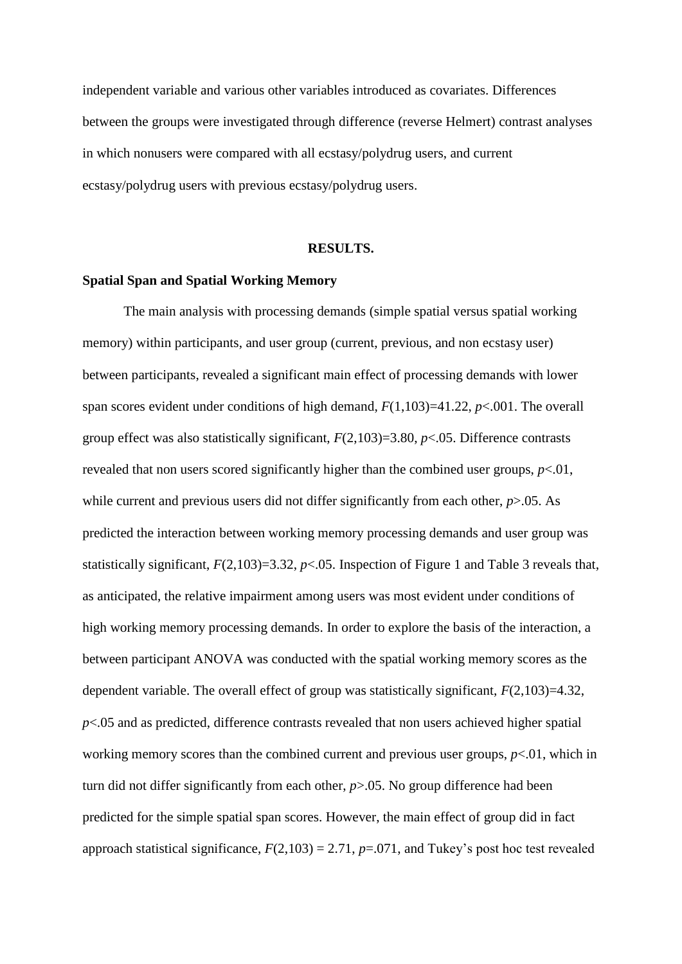independent variable and various other variables introduced as covariates. Differences between the groups were investigated through difference (reverse Helmert) contrast analyses in which nonusers were compared with all ecstasy/polydrug users, and current ecstasy/polydrug users with previous ecstasy/polydrug users.

## **RESULTS.**

## **Spatial Span and Spatial Working Memory**

The main analysis with processing demands (simple spatial versus spatial working memory) within participants, and user group (current, previous, and non ecstasy user) between participants, revealed a significant main effect of processing demands with lower span scores evident under conditions of high demand, *F*(1,103)=41.22, *p*<.001. The overall group effect was also statistically significant, *F*(2,103)=3.80, *p*<.05. Difference contrasts revealed that non users scored significantly higher than the combined user groups, *p*<.01, while current and previous users did not differ significantly from each other, *p*>.05. As predicted the interaction between working memory processing demands and user group was statistically significant,  $F(2,103)=3.32$ ,  $p<.05$ . Inspection of Figure 1 and Table 3 reveals that, as anticipated, the relative impairment among users was most evident under conditions of high working memory processing demands. In order to explore the basis of the interaction, a between participant ANOVA was conducted with the spatial working memory scores as the dependent variable. The overall effect of group was statistically significant, *F*(2,103)=4.32, *p*<.05 and as predicted, difference contrasts revealed that non users achieved higher spatial working memory scores than the combined current and previous user groups, *p*<.01, which in turn did not differ significantly from each other, *p*>.05. No group difference had been predicted for the simple spatial span scores. However, the main effect of group did in fact approach statistical significance,  $F(2,103) = 2.71$ ,  $p=.071$ , and Tukey's post hoc test revealed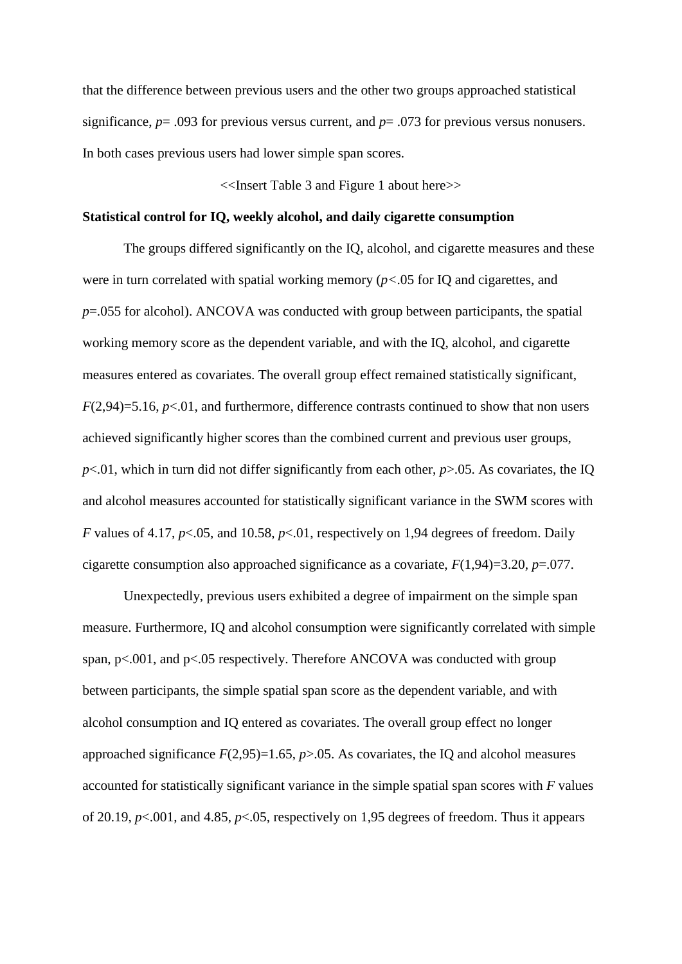that the difference between previous users and the other two groups approached statistical significance, *p*= .093 for previous versus current, and *p*= .073 for previous versus nonusers. In both cases previous users had lower simple span scores.

<<Insert Table 3 and Figure 1 about here>>

## **Statistical control for IQ, weekly alcohol, and daily cigarette consumption**

The groups differed significantly on the IQ, alcohol, and cigarette measures and these were in turn correlated with spatial working memory (*p<*.05 for IQ and cigarettes, and *p*=.055 for alcohol). ANCOVA was conducted with group between participants, the spatial working memory score as the dependent variable, and with the IQ, alcohol, and cigarette measures entered as covariates. The overall group effect remained statistically significant, *F*(2,94)=5.16, *p*<.01, and furthermore, difference contrasts continued to show that non users achieved significantly higher scores than the combined current and previous user groups,  $p<.01$ , which in turn did not differ significantly from each other,  $p>0.05$ . As covariates, the IQ and alcohol measures accounted for statistically significant variance in the SWM scores with *F* values of 4.17, *p*<.05, and 10.58, *p*<.01, respectively on 1,94 degrees of freedom. Daily cigarette consumption also approached significance as a covariate, *F*(1,94)=3.20, *p*=.077.

Unexpectedly, previous users exhibited a degree of impairment on the simple span measure. Furthermore, IQ and alcohol consumption were significantly correlated with simple span,  $p<.001$ , and  $p<.05$  respectively. Therefore ANCOVA was conducted with group between participants, the simple spatial span score as the dependent variable, and with alcohol consumption and IQ entered as covariates. The overall group effect no longer approached significance  $F(2,95)=1.65$ ,  $p>0.05$ . As covariates, the IQ and alcohol measures accounted for statistically significant variance in the simple spatial span scores with *F* values of 20.19, *p*<.001, and 4.85, *p*<.05, respectively on 1,95 degrees of freedom. Thus it appears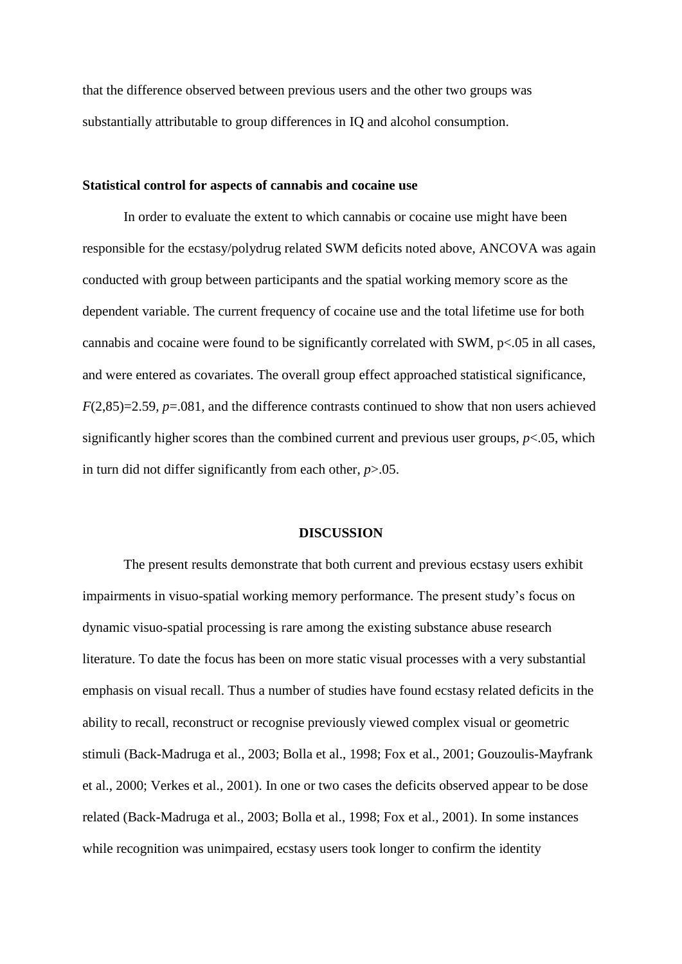that the difference observed between previous users and the other two groups was substantially attributable to group differences in IQ and alcohol consumption.

## **Statistical control for aspects of cannabis and cocaine use**

In order to evaluate the extent to which cannabis or cocaine use might have been responsible for the ecstasy/polydrug related SWM deficits noted above, ANCOVA was again conducted with group between participants and the spatial working memory score as the dependent variable. The current frequency of cocaine use and the total lifetime use for both cannabis and cocaine were found to be significantly correlated with SWM, p<.05 in all cases, and were entered as covariates. The overall group effect approached statistical significance, *F*(2,85)=2.59, *p*=.081, and the difference contrasts continued to show that non users achieved significantly higher scores than the combined current and previous user groups,  $p < 0.05$ , which in turn did not differ significantly from each other, *p*>.05.

#### **DISCUSSION**

The present results demonstrate that both current and previous ecstasy users exhibit impairments in visuo-spatial working memory performance. The present study's focus on dynamic visuo-spatial processing is rare among the existing substance abuse research literature. To date the focus has been on more static visual processes with a very substantial emphasis on visual recall. Thus a number of studies have found ecstasy related deficits in the ability to recall, reconstruct or recognise previously viewed complex visual or geometric stimuli (Back-Madruga et al., 2003; Bolla et al., 1998; Fox et al., 2001; Gouzoulis-Mayfrank et al., 2000; Verkes et al., 2001). In one or two cases the deficits observed appear to be dose related (Back-Madruga et al., 2003; Bolla et al., 1998; Fox et al., 2001). In some instances while recognition was unimpaired, ecstasy users took longer to confirm the identity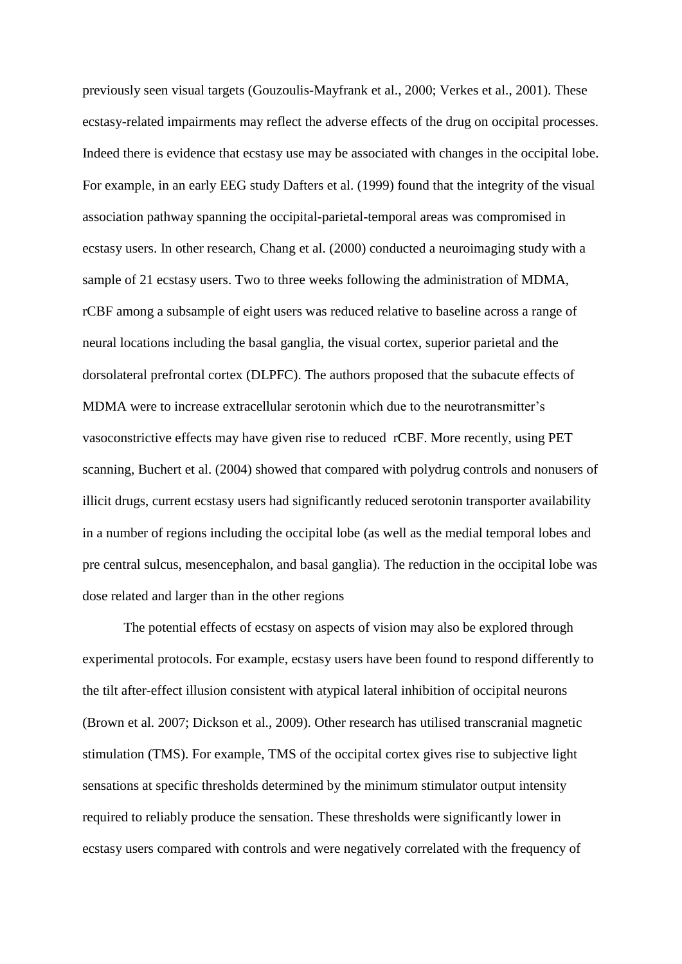previously seen visual targets (Gouzoulis-Mayfrank et al., 2000; Verkes et al., 2001). These ecstasy-related impairments may reflect the adverse effects of the drug on occipital processes. Indeed there is evidence that ecstasy use may be associated with changes in the occipital lobe. For example, in an early EEG study Dafters et al. (1999) found that the integrity of the visual association pathway spanning the occipital-parietal-temporal areas was compromised in ecstasy users. In other research, Chang et al. (2000) conducted a neuroimaging study with a sample of 21 ecstasy users. Two to three weeks following the administration of MDMA, rCBF among a subsample of eight users was reduced relative to baseline across a range of neural locations including the basal ganglia, the visual cortex, superior parietal and the dorsolateral prefrontal cortex (DLPFC). The authors proposed that the subacute effects of MDMA were to increase extracellular serotonin which due to the neurotransmitter's vasoconstrictive effects may have given rise to reduced rCBF. More recently, using PET scanning, Buchert et al. (2004) showed that compared with polydrug controls and nonusers of illicit drugs, current ecstasy users had significantly reduced serotonin transporter availability in a number of regions including the occipital lobe (as well as the medial temporal lobes and pre central sulcus, mesencephalon, and basal ganglia). The reduction in the occipital lobe was dose related and larger than in the other regions

The potential effects of ecstasy on aspects of vision may also be explored through experimental protocols. For example, ecstasy users have been found to respond differently to the tilt after-effect illusion consistent with atypical lateral inhibition of occipital neurons (Brown et al. 2007; Dickson et al., 2009). Other research has utilised transcranial magnetic stimulation (TMS). For example, TMS of the occipital cortex gives rise to subjective light sensations at specific thresholds determined by the minimum stimulator output intensity required to reliably produce the sensation. These thresholds were significantly lower in ecstasy users compared with controls and were negatively correlated with the frequency of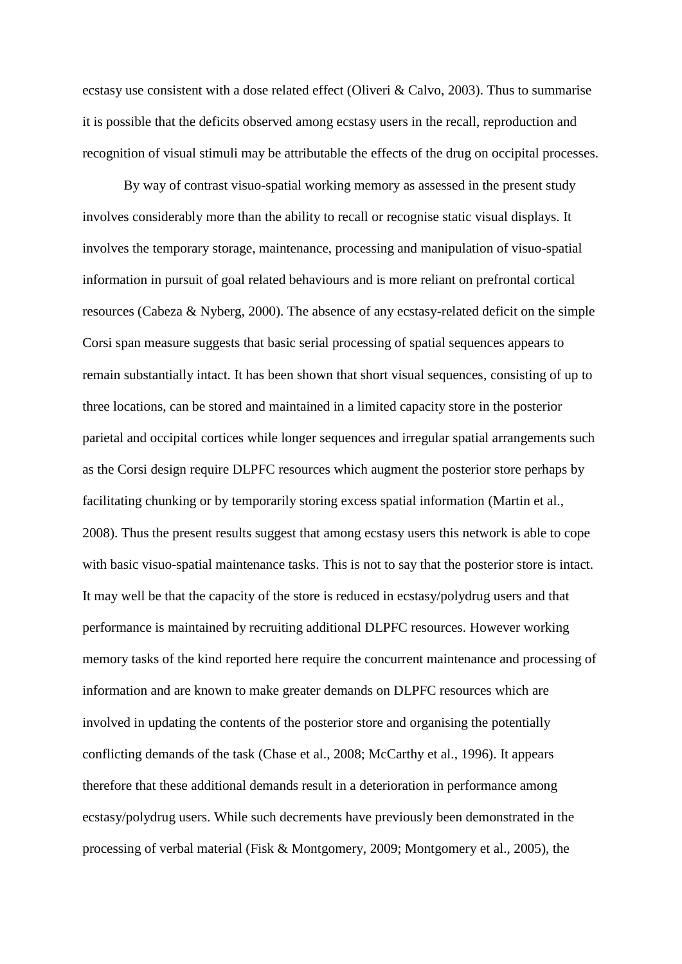ecstasy use consistent with a dose related effect (Oliveri & Calvo, 2003). Thus to summarise it is possible that the deficits observed among ecstasy users in the recall, reproduction and recognition of visual stimuli may be attributable the effects of the drug on occipital processes.

By way of contrast visuo-spatial working memory as assessed in the present study involves considerably more than the ability to recall or recognise static visual displays. It involves the temporary storage, maintenance, processing and manipulation of visuo-spatial information in pursuit of goal related behaviours and is more reliant on prefrontal cortical resources (Cabeza & Nyberg, 2000). The absence of any ecstasy-related deficit on the simple Corsi span measure suggests that basic serial processing of spatial sequences appears to remain substantially intact. It has been shown that short visual sequences, consisting of up to three locations, can be stored and maintained in a limited capacity store in the posterior parietal and occipital cortices while longer sequences and irregular spatial arrangements such as the Corsi design require DLPFC resources which augment the posterior store perhaps by facilitating chunking or by temporarily storing excess spatial information (Martin et al., 2008). Thus the present results suggest that among ecstasy users this network is able to cope with basic visuo-spatial maintenance tasks. This is not to say that the posterior store is intact. It may well be that the capacity of the store is reduced in ecstasy/polydrug users and that performance is maintained by recruiting additional DLPFC resources. However working memory tasks of the kind reported here require the concurrent maintenance and processing of information and are known to make greater demands on DLPFC resources which are involved in updating the contents of the posterior store and organising the potentially conflicting demands of the task (Chase et al., 2008; McCarthy et al., 1996). It appears therefore that these additional demands result in a deterioration in performance among ecstasy/polydrug users. While such decrements have previously been demonstrated in the processing of verbal material (Fisk & Montgomery, 2009; Montgomery et al., 2005), the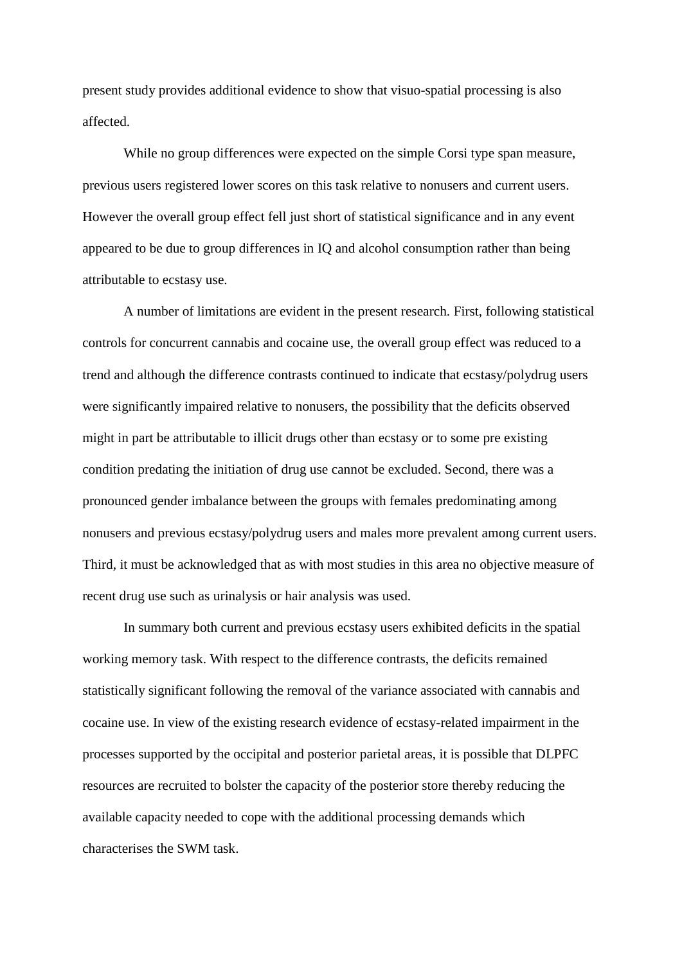present study provides additional evidence to show that visuo-spatial processing is also affected.

While no group differences were expected on the simple Corsi type span measure, previous users registered lower scores on this task relative to nonusers and current users. However the overall group effect fell just short of statistical significance and in any event appeared to be due to group differences in IQ and alcohol consumption rather than being attributable to ecstasy use.

A number of limitations are evident in the present research. First, following statistical controls for concurrent cannabis and cocaine use, the overall group effect was reduced to a trend and although the difference contrasts continued to indicate that ecstasy/polydrug users were significantly impaired relative to nonusers, the possibility that the deficits observed might in part be attributable to illicit drugs other than ecstasy or to some pre existing condition predating the initiation of drug use cannot be excluded. Second, there was a pronounced gender imbalance between the groups with females predominating among nonusers and previous ecstasy/polydrug users and males more prevalent among current users. Third, it must be acknowledged that as with most studies in this area no objective measure of recent drug use such as urinalysis or hair analysis was used.

In summary both current and previous ecstasy users exhibited deficits in the spatial working memory task. With respect to the difference contrasts, the deficits remained statistically significant following the removal of the variance associated with cannabis and cocaine use. In view of the existing research evidence of ecstasy-related impairment in the processes supported by the occipital and posterior parietal areas, it is possible that DLPFC resources are recruited to bolster the capacity of the posterior store thereby reducing the available capacity needed to cope with the additional processing demands which characterises the SWM task.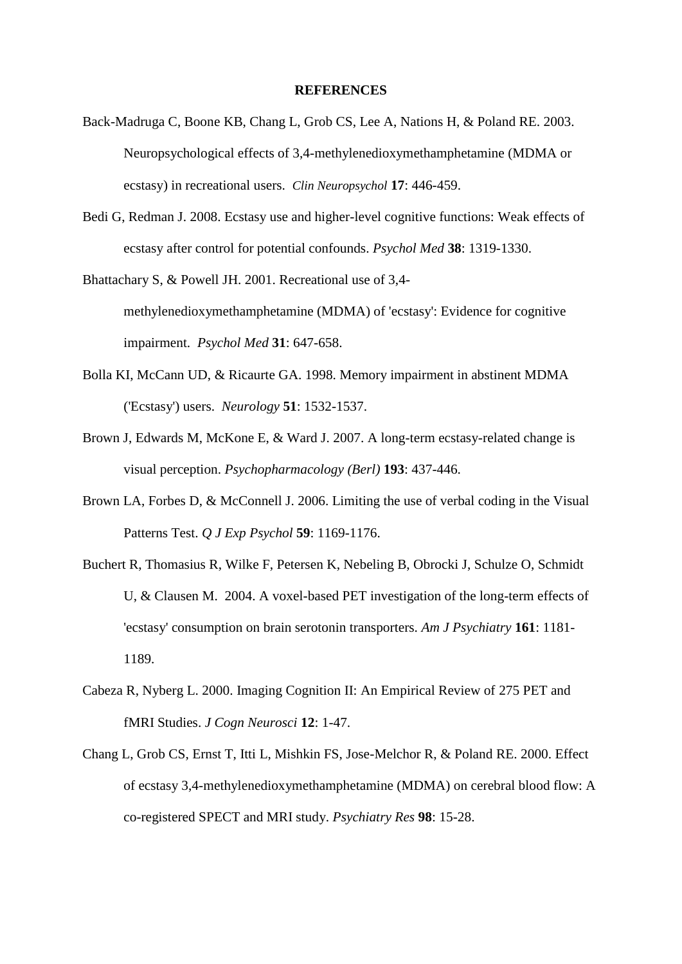#### **REFERENCES**

- Back-Madruga C, Boone KB, Chang L, Grob CS, Lee A, Nations H, & Poland RE. 2003. Neuropsychological effects of 3,4-methylenedioxymethamphetamine (MDMA or ecstasy) in recreational users. *Clin Neuropsychol* **17**: 446-459.
- Bedi G, Redman J. 2008. Ecstasy use and higher-level cognitive functions: Weak effects of ecstasy after control for potential confounds. *Psychol Med* **38**: 1319-1330.
- Bhattachary S, & Powell JH. 2001. Recreational use of 3,4 methylenedioxymethamphetamine (MDMA) of 'ecstasy': Evidence for cognitive impairment. *Psychol Med* **31**: 647-658.
- Bolla KI, McCann UD, & Ricaurte GA. 1998. Memory impairment in abstinent MDMA ('Ecstasy') users. *Neurology* **51**: 1532-1537.
- Brown J, Edwards M, McKone E, & Ward J. 2007. A long-term ecstasy-related change is visual perception. *Psychopharmacology (Berl)* **193**: 437-446.
- Brown LA, Forbes D, & McConnell J. 2006. Limiting the use of verbal coding in the Visual Patterns Test. *Q J Exp Psychol* **59**: 1169-1176.
- Buchert R, Thomasius R, Wilke F, Petersen K, Nebeling B, Obrocki J, Schulze O, Schmidt U, & Clausen M. 2004. A voxel-based PET investigation of the long-term effects of 'ecstasy' consumption on brain serotonin transporters. *Am J Psychiatry* **161**: 1181- 1189.
- Cabeza R, Nyberg L. 2000. Imaging Cognition II: An Empirical Review of 275 PET and fMRI Studies. *J Cogn Neurosci* **12**: 1-47.
- Chang L, Grob CS, Ernst T, Itti L, Mishkin FS, Jose-Melchor R, & Poland RE. 2000. Effect of ecstasy 3,4-methylenedioxymethamphetamine (MDMA) on cerebral blood flow: A co-registered SPECT and MRI study. *Psychiatry Res* **98**: 15-28.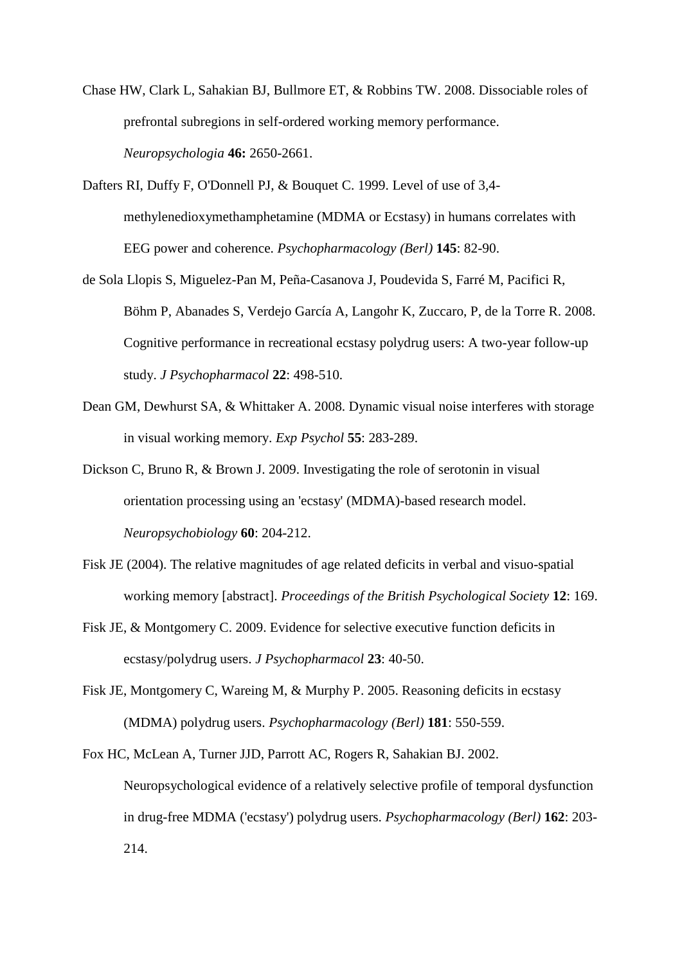- Chase HW, Clark L, Sahakian BJ, Bullmore ET, & Robbins TW. 2008. Dissociable roles of prefrontal subregions in self-ordered working memory performance. *Neuropsychologia* **46:** 2650-2661.
- Dafters RI, Duffy F, O'Donnell PJ, & Bouquet C. 1999. Level of use of 3,4 methylenedioxymethamphetamine (MDMA or Ecstasy) in humans correlates with EEG power and coherence. *Psychopharmacology (Berl)* **145**: 82-90.
- de Sola Llopis S, Miguelez-Pan M, Peña-Casanova J, Poudevida S, Farré M, Pacifici R, Böhm P, Abanades S, Verdejo García A, Langohr K, Zuccaro, P, de la Torre R. 2008. Cognitive performance in recreational ecstasy polydrug users: A two-year follow-up study. *J Psychopharmacol* **22**: 498-510.
- Dean GM, Dewhurst SA, & Whittaker A. 2008. Dynamic visual noise interferes with storage in visual working memory. *Exp Psychol* **55**: 283-289.
- Dickson C, Bruno R, & Brown J. 2009. Investigating the role of serotonin in visual orientation processing using an 'ecstasy' (MDMA)-based research model. *Neuropsychobiology* **60**: 204-212.
- Fisk JE (2004). The relative magnitudes of age related deficits in verbal and visuo-spatial working memory [abstract]. *Proceedings of the British Psychological Society* **12**: 169.
- Fisk JE, & Montgomery C. 2009. Evidence for selective executive function deficits in ecstasy/polydrug users. *J Psychopharmacol* **23**: 40-50.
- Fisk JE, Montgomery C, Wareing M, & Murphy P. 2005. Reasoning deficits in ecstasy (MDMA) polydrug users. *Psychopharmacology (Berl)* **181**: 550-559.
- Fox HC, McLean A, Turner JJD, Parrott AC, Rogers R, Sahakian BJ. 2002. Neuropsychological evidence of a relatively selective profile of temporal dysfunction in drug-free MDMA ('ecstasy') polydrug users. *Psychopharmacology (Berl)* **162**: 203- 214.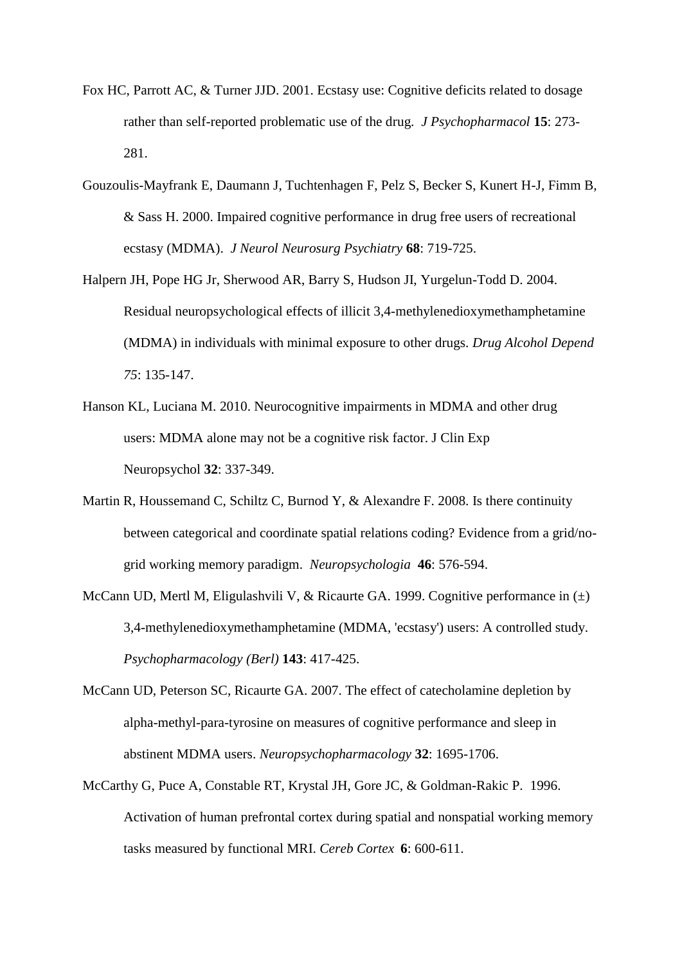- Fox HC, Parrott AC, & Turner JJD. 2001. Ecstasy use: Cognitive deficits related to dosage rather than self-reported problematic use of the drug. *J Psychopharmacol* **15**: 273- 281.
- Gouzoulis-Mayfrank E, Daumann J, Tuchtenhagen F, Pelz S, Becker S, Kunert H-J, Fimm B, & Sass H. 2000. Impaired cognitive performance in drug free users of recreational ecstasy (MDMA). *J Neurol Neurosurg Psychiatry* **68**: 719-725.
- Halpern JH, Pope HG Jr, Sherwood AR, Barry S, Hudson JI, Yurgelun-Todd D. 2004. Residual neuropsychological effects of illicit 3,4-methylenedioxymethamphetamine (MDMA) in individuals with minimal exposure to other drugs. *Drug Alcohol Depend 75*: 135-147.
- Hanson KL, Luciana M. 2010. Neurocognitive impairments in MDMA and other drug users: MDMA alone may not be a cognitive risk factor. J Clin Exp Neuropsychol **32**: 337-349.
- Martin R, Houssemand C, Schiltz C, Burnod Y, & Alexandre F. 2008. Is there continuity between categorical and coordinate spatial relations coding? Evidence from a grid/nogrid working memory paradigm. *Neuropsychologia* **46**: 576-594.
- McCann UD, Mertl M, Eligulashvili V, & Ricaurte GA. 1999. Cognitive performance in (±) 3,4-methylenedioxymethamphetamine (MDMA, 'ecstasy') users: A controlled study. *Psychopharmacology (Berl)* **143**: 417-425.
- McCann UD, Peterson SC, Ricaurte GA. 2007. The effect of catecholamine depletion by alpha-methyl-para-tyrosine on measures of cognitive performance and sleep in abstinent MDMA users. *Neuropsychopharmacology* **32**: 1695-1706.
- McCarthy G, Puce A, Constable RT, Krystal JH, Gore JC, & Goldman-Rakic P. 1996. Activation of human prefrontal cortex during spatial and nonspatial working memory tasks measured by functional MRI. *Cereb Cortex* **6**: 600-611.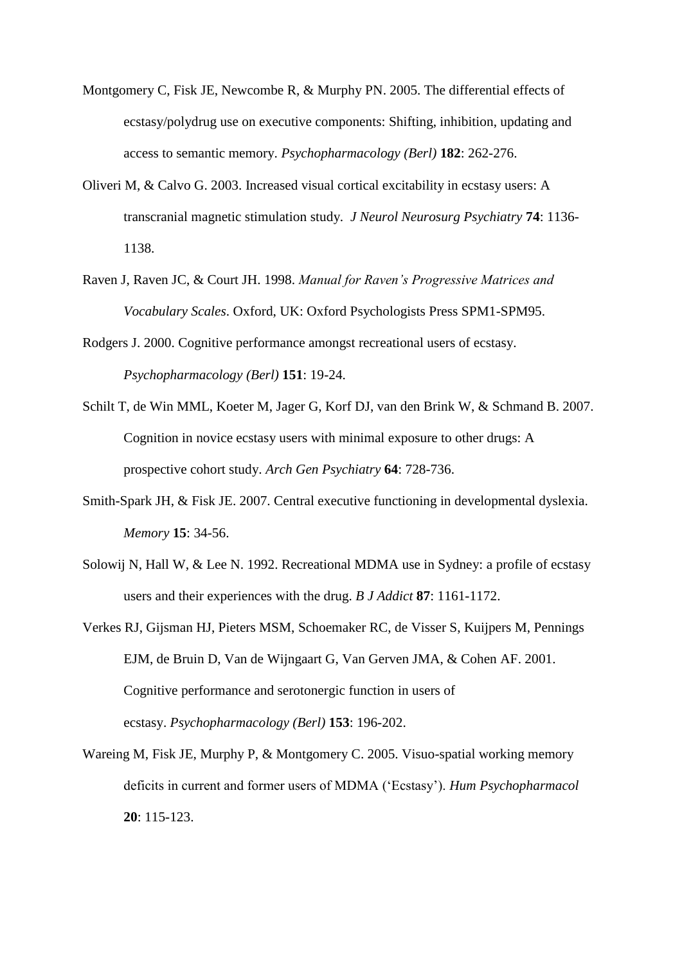- Montgomery C, Fisk JE, Newcombe R, & Murphy PN. 2005. The differential effects of ecstasy/polydrug use on executive components: Shifting, inhibition, updating and access to semantic memory. *Psychopharmacology (Berl)* **182**: 262-276.
- Oliveri M, & Calvo G. 2003. Increased visual cortical excitability in ecstasy users: A transcranial magnetic stimulation study. *J Neurol Neurosurg Psychiatry* **74**: 1136- 1138.
- Raven J, Raven JC, & Court JH. 1998. *Manual for Raven's Progressive Matrices and Vocabulary Scales*. Oxford, UK: Oxford Psychologists Press SPM1-SPM95.
- Rodgers J. 2000. Cognitive performance amongst recreational users of ecstasy. *Psychopharmacology (Berl)* **151**: 19-24.
- Schilt T, de Win MML, Koeter M, Jager G, Korf DJ, van den Brink W, & Schmand B. 2007. Cognition in novice ecstasy users with minimal exposure to other drugs: A prospective cohort study. *Arch Gen Psychiatry* **64**: 728-736.
- Smith-Spark JH, & Fisk JE. 2007. Central executive functioning in developmental dyslexia. *Memory* **15**: 34-56.
- Solowij N, Hall W, & Lee N. 1992. Recreational MDMA use in Sydney: a profile of ecstasy users and their experiences with the drug. *B J Addict* **87**: 1161-1172.
- Verkes RJ, Gijsman HJ, Pieters MSM, Schoemaker RC, de Visser S, Kuijpers M, Pennings EJM, de Bruin D, Van de Wijngaart G, Van Gerven JMA, & Cohen AF. 2001. Cognitive performance and serotonergic function in users of ecstasy. *Psychopharmacology (Berl)* **153**: 196-202.
- Wareing M, Fisk JE, Murphy P, & Montgomery C. 2005. Visuo-spatial working memory deficits in current and former users of MDMA ('Ecstasy'). *Hum Psychopharmacol*  **20**: 115-123.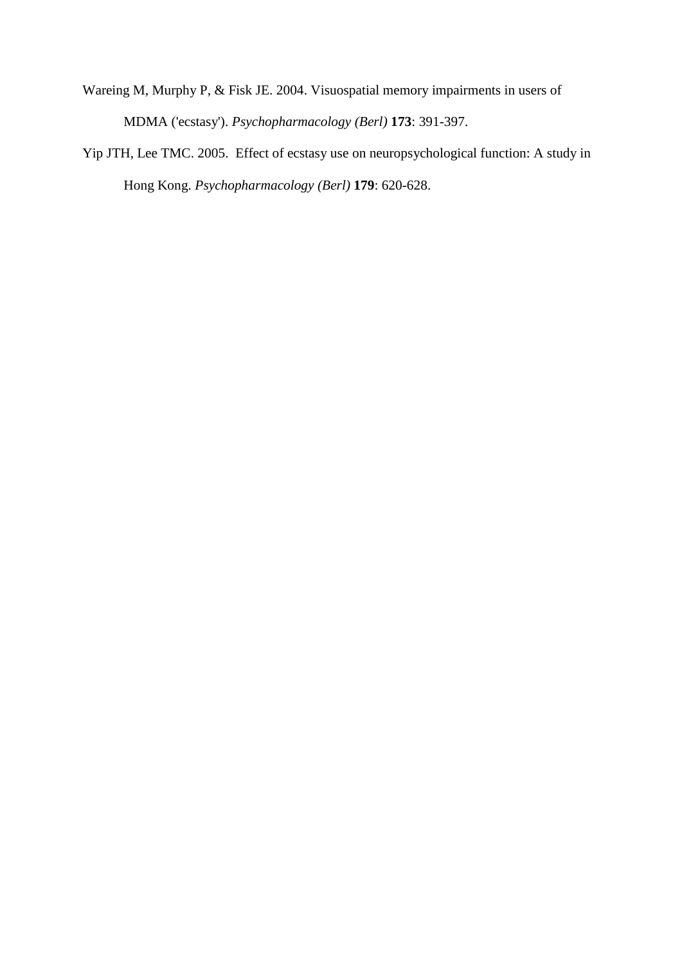- Wareing M, Murphy P, & Fisk JE. 2004. Visuospatial memory impairments in users of MDMA ('ecstasy'). *Psychopharmacology (Berl)* **173**: 391-397.
- Yip JTH, Lee TMC. 2005. Effect of ecstasy use on neuropsychological function: A study in Hong Kong. *Psychopharmacology (Berl)* **179**: 620-628.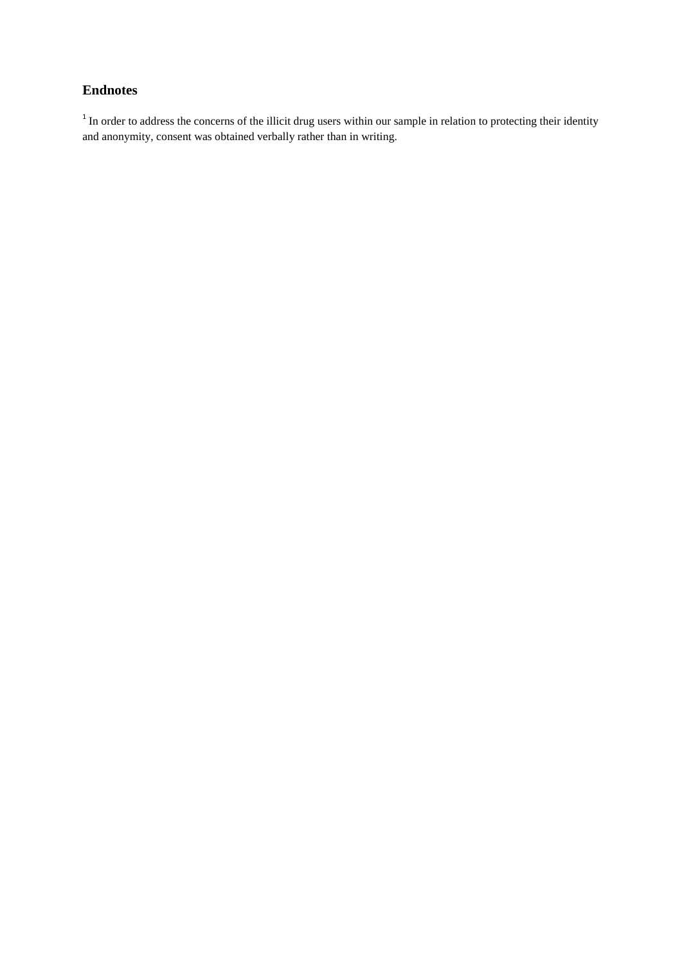# **Endnotes**

 $1$  In order to address the concerns of the illicit drug users within our sample in relation to protecting their identity and anonymity, consent was obtained verbally rather than in writing.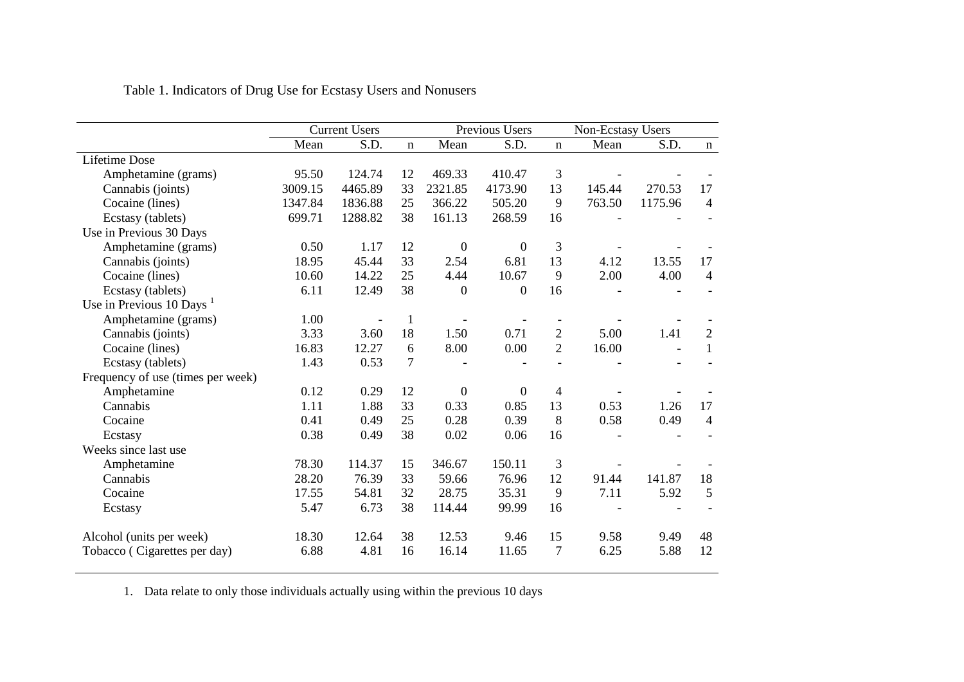|                                        |         | <b>Current Users</b> |              | Previous Users |                | Non-Ecstasy Users |        |         |                |
|----------------------------------------|---------|----------------------|--------------|----------------|----------------|-------------------|--------|---------|----------------|
|                                        | Mean    | S.D.<br>$\mathbf n$  |              | Mean           | S.D.           | $\mathbf n$       | Mean   | S.D.    | $\mathbf{n}$   |
| <b>Lifetime Dose</b>                   |         |                      |              |                |                |                   |        |         |                |
| Amphetamine (grams)                    | 95.50   | 124.74               | 12           | 469.33         | 410.47         | 3                 |        |         |                |
| Cannabis (joints)                      | 3009.15 | 4465.89              | 33           | 2321.85        | 4173.90        | 13                | 145.44 | 270.53  | 17             |
| Cocaine (lines)                        | 1347.84 | 1836.88              | 25           | 366.22         | 505.20         | 9                 | 763.50 | 1175.96 | 4              |
| Ecstasy (tablets)                      | 699.71  | 1288.82              | 38           | 161.13         | 268.59         | 16                |        |         |                |
| Use in Previous 30 Days                |         |                      |              |                |                |                   |        |         |                |
| Amphetamine (grams)                    | 0.50    | 1.17                 | 12           | $\overline{0}$ | $\overline{0}$ | 3                 |        |         |                |
| Cannabis (joints)                      | 18.95   | 45.44                | 33           | 2.54           | 6.81           | 13                | 4.12   | 13.55   | 17             |
| Cocaine (lines)                        | 10.60   | 14.22                | 25           | 4.44           | 10.67          | 9                 | 2.00   | 4.00    | 4              |
| Ecstasy (tablets)                      | 6.11    | 12.49                | 38           | $\overline{0}$ | $\overline{0}$ | 16                |        |         |                |
| Use in Previous $10 \text{ Days}^{-1}$ |         |                      |              |                |                |                   |        |         |                |
| Amphetamine (grams)                    | 1.00    |                      | $\mathbf{1}$ |                |                |                   |        |         |                |
| Cannabis (joints)                      | 3.33    | 3.60                 | 18           | 1.50           | 0.71           | $\overline{2}$    | 5.00   | 1.41    | $\overline{2}$ |
| Cocaine (lines)                        | 16.83   | 12.27                | 6            | 8.00           | 0.00           | $\overline{2}$    | 16.00  |         | 1              |
| Ecstasy (tablets)                      | 1.43    | 0.53                 | 7            |                |                |                   |        |         |                |
| Frequency of use (times per week)      |         |                      |              |                |                |                   |        |         |                |
| Amphetamine                            | 0.12    | 0.29                 | 12           | $\overline{0}$ | $\theta$       | 4                 |        |         |                |
| Cannabis                               | 1.11    | 1.88                 | 33           | 0.33           | 0.85           | 13                | 0.53   | 1.26    | 17             |
| Cocaine                                | 0.41    | 0.49                 | 25           | 0.28           | 0.39           | 8                 | 0.58   | 0.49    | 4              |
| Ecstasy                                | 0.38    | 0.49                 | 38           | 0.02           | 0.06           | 16                |        |         |                |
| Weeks since last use                   |         |                      |              |                |                |                   |        |         |                |
| Amphetamine                            | 78.30   | 114.37               | 15           | 346.67         | 150.11         | 3                 |        |         |                |
| Cannabis                               | 28.20   | 76.39                | 33           | 59.66          | 76.96          | 12                | 91.44  | 141.87  | 18             |
| Cocaine                                | 17.55   | 54.81                | 32           | 28.75          | 35.31          | 9                 | 7.11   | 5.92    | 5              |
| Ecstasy                                | 5.47    | 6.73                 | 38           | 114.44         | 99.99          | 16                |        |         |                |
| Alcohol (units per week)               | 18.30   | 12.64                | 38           | 12.53          | 9.46           | 15                | 9.58   | 9.49    | 48             |
| Tobacco (Cigarettes per day)           | 6.88    | 4.81                 | 16           | 16.14          | 11.65          | $\overline{7}$    | 6.25   | 5.88    | 12             |

Table 1. Indicators of Drug Use for Ecstasy Users and Nonusers

1. Data relate to only those individuals actually using within the previous 10 days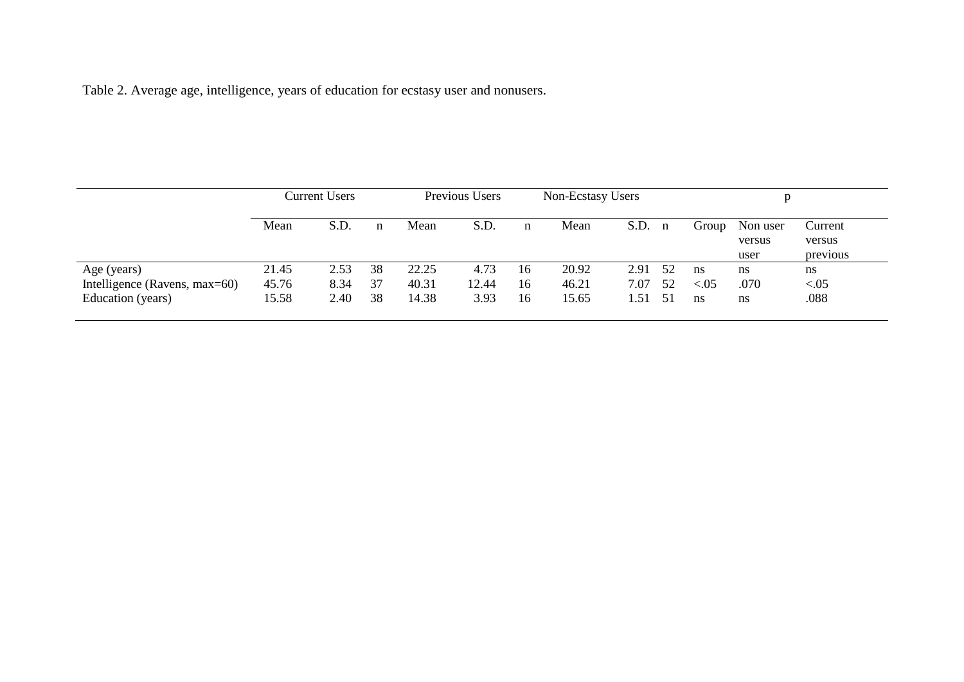Table 2. Average age, intelligence, years of education for ecstasy user and nonusers.

|                               | Current Users |      |    | Previous Users |       | Non-Ecstasy Users |       |             |        |          |          |
|-------------------------------|---------------|------|----|----------------|-------|-------------------|-------|-------------|--------|----------|----------|
|                               | Mean          | S.D. | n  | Mean           | S.D.  | n                 | Mean  | S.D.<br>n   | Group  | Non user | Current  |
|                               |               |      |    |                |       |                   |       |             |        | versus   | versus   |
|                               |               |      |    |                |       |                   |       |             |        | user     | previous |
| Age (years)                   | 21.45         | 2.53 | 38 | 22.25          | 4.73  | 16                | 20.92 | 2.91<br>-52 | ns     | ns       | ns       |
| Intelligence (Ravens, max=60) | 45.76         | 8.34 | 37 | 40.31          | 12.44 | 16                | 46.21 | 7.07<br>52  | < 0.05 | .070     | < 0.05   |
| Education (years)             | 15.58         | 2.40 | 38 | 14.38          | 3.93  | 16                | 15.65 | 1.51<br>-51 | ns     | ns       | .088     |
|                               |               |      |    |                |       |                   |       |             |        |          |          |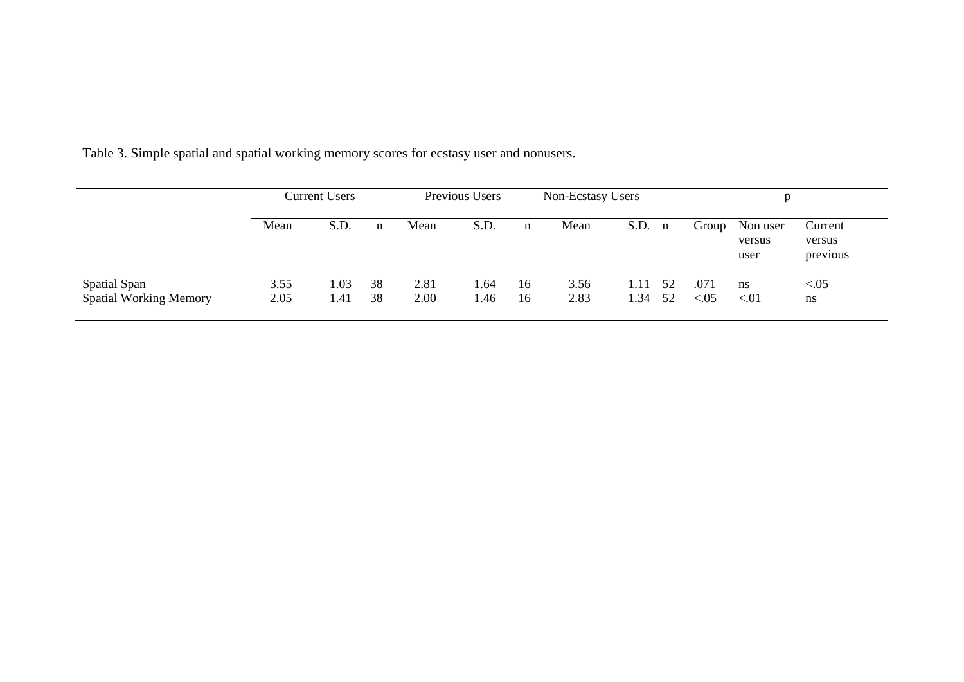|                                               | <b>Current Users</b> |              |             | Previous Users |              |          | Non-Ecstasy Users |              |              |                |                            |                               |
|-----------------------------------------------|----------------------|--------------|-------------|----------------|--------------|----------|-------------------|--------------|--------------|----------------|----------------------------|-------------------------------|
|                                               | Mean                 | S.D.         | $\mathbf n$ | Mean           | S.D.         | n        | Mean              | S.D.         | $\mathbf{n}$ | Group          | Non user<br>versus<br>user | Current<br>versus<br>previous |
| Spatial Span<br><b>Spatial Working Memory</b> | 3.55<br>2.05         | 1.03<br>1.41 | 38<br>38    | 2.81<br>2.00   | 1.64<br>1.46 | 16<br>16 | 3.56<br>2.83      | 1.11<br>1.34 | -52<br>52    | .071<br>< 0.05 | ns<br>< 01                 | < .05<br>ns                   |

Table 3. Simple spatial and spatial working memory scores for ecstasy user and nonusers.